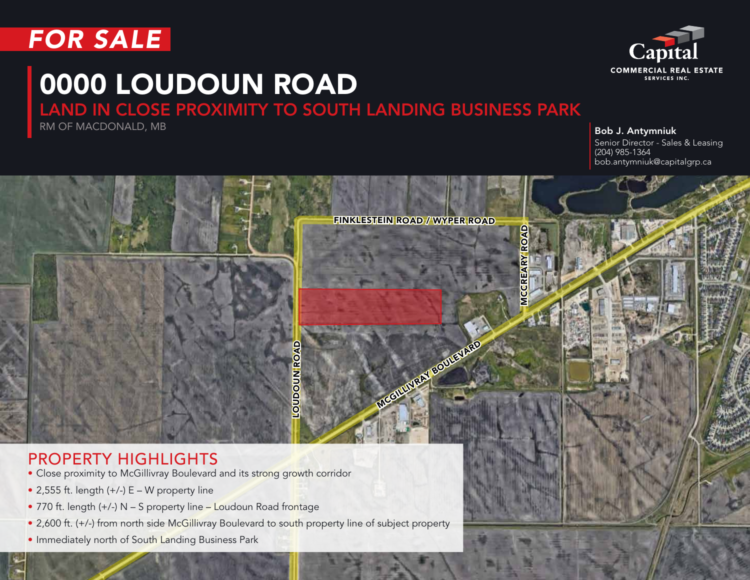



# 0000 LOUDOUN ROAD

### LAND IN CLOSE PROXIMITY TO SOUTH LANDING BUSINESS PARK

**RM OF MACDONALD, MB** Bob J. Antymniuk

Senior Director - Sales & Leasing (204) 985-1364 bob.antymniuk@capitalgrp.ca



#### PROPERTY HIGHLIGHTS

- Close proximity to McGillivray Boulevard and its strong growth corridor
- $\bullet$  2,555 ft. length (+/-) E W property line
- 770 ft. length (+/-) N S property line Loudoun Road frontage
- 2,600 ft. (+/-) from north side McGillivray Boulevard to south property line of subject property
- Immediately north of South Landing Business Park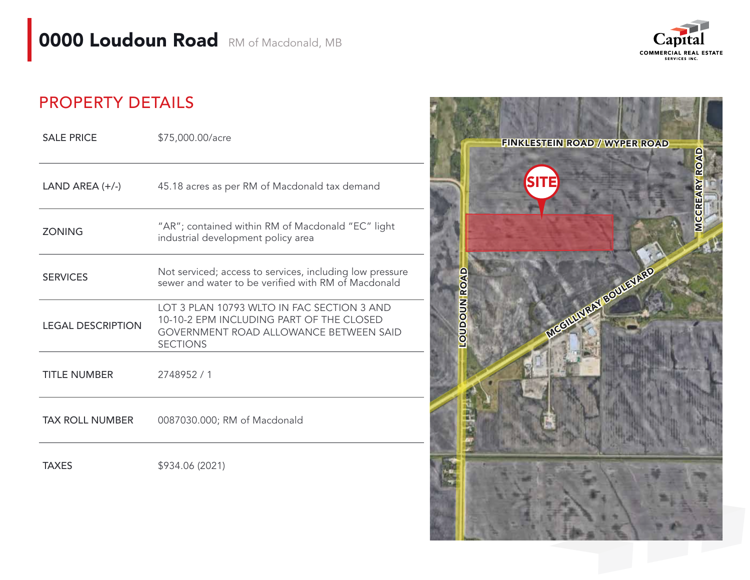

#### PROPERTY DETAILS

| <b>SALE PRICE</b>        | \$75,000.00/acre                                                                                                                                    |
|--------------------------|-----------------------------------------------------------------------------------------------------------------------------------------------------|
| LAND AREA $(+/-)$        | 45.18 acres as per RM of Macdonald tax demand                                                                                                       |
| <b>ZONING</b>            | "AR"; contained within RM of Macdonald "EC" light<br>industrial development policy area                                                             |
| <b>SERVICES</b>          | Not serviced; access to services, including low pressure<br>sewer and water to be verified with RM of Macdonald                                     |
| <b>LEGAL DESCRIPTION</b> | LOT 3 PLAN 10793 WITO IN FAC SECTION 3 AND<br>10-10-2 EPM INCLUDING PART OF THE CLOSED<br>GOVERNMENT ROAD ALLOWANCE BETWEEN SAID<br><b>SECTIONS</b> |
| <b>TITLE NUMBER</b>      | 2748952 / 1                                                                                                                                         |
| <b>TAX ROLL NUMBER</b>   | 0087030.000; RM of Macdonald                                                                                                                        |
|                          |                                                                                                                                                     |

TAXES \$934.06 (2021)

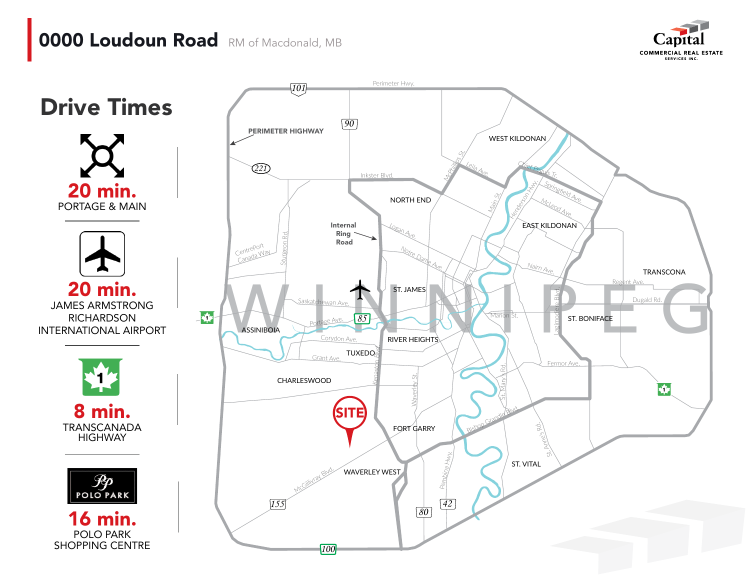## **0000 Loudoun Road** RM of Macdonald, MB